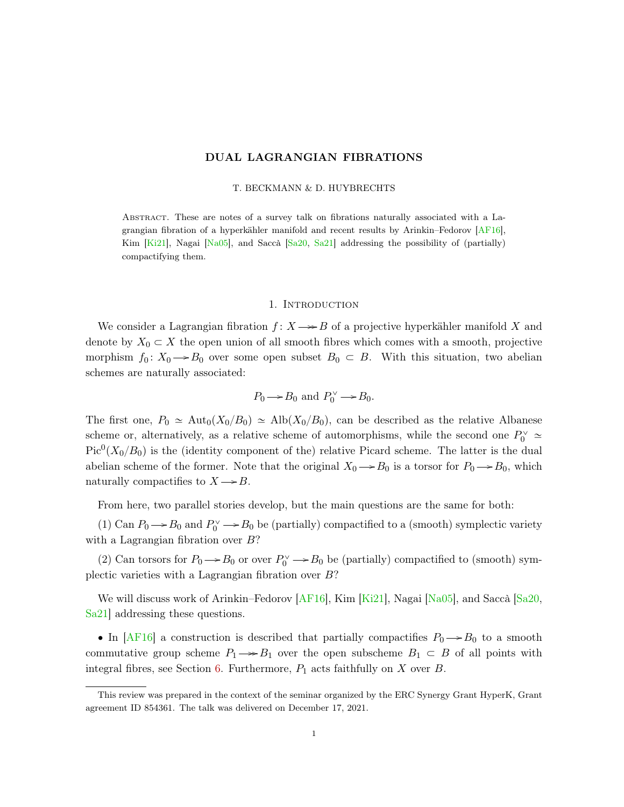# DUAL LAGRANGIAN FIBRATIONS

### T. BECKMANN & D. HUYBRECHTS

<span id="page-0-0"></span>Abstract. These are notes of a survey talk on fibrations naturally associated with a Lagrangian fibration of a hyperkähler manifold and recent results by Arinkin–Fedorov [\[AF16\]](#page-18-0), Kim  $[Ki21]$ , Nagai  $[Na05]$ , and Saccà  $[Sa20, Sa21]$  $[Sa20, Sa21]$  $[Sa20, Sa21]$  addressing the possibility of (partially) compactifying them.

## 1. INTRODUCTION

We consider a Lagrangian fibration  $f: X \rightarrow B$  of a projective hyperkähler manifold X and denote by  $X_0 \subset X$  the open union of all smooth fibres which comes with a smooth, projective morphism  $f_0: X_0 \to B_0$  over some open subset  $B_0 \subset B$ . With this situation, two abelian schemes are naturally associated:

$$
P_0 \longrightarrow B_0
$$
 and  $P_0^{\vee} \longrightarrow B_0$ .

The first one,  $P_0 \simeq \text{Aut}_0(X_0/B_0) \simeq \text{Alb}(X_0/B_0)$ , can be described as the relative Albanese scheme or, alternatively, as a relative scheme of automorphisms, while the second one  $P_0^{\vee} \simeq$  $Pic<sup>0</sup>(X<sub>0</sub>/B<sub>0</sub>)$  is the (identity component of the) relative Picard scheme. The latter is the dual abelian scheme of the former. Note that the original  $X_0 \rightarrow B_0$  is a torsor for  $P_0 \rightarrow B_0$ , which naturally compactifies to  $X \rightarrow B$ .

From here, two parallel stories develop, but the main questions are the same for both:

(1) Can  $P_0 \rightarrow B_0$  and  $P_0^{\vee} \rightarrow B_0$  be (partially) compactified to a (smooth) symplectic variety with a Lagrangian fibration over B?

(2) Can torsors for  $P_0 \to B_0$  or over  $P_0^{\vee} \to B_0$  be (partially) compactified to (smooth) symplectic varieties with a Lagrangian fibration over B?

We will discuss work of Arinkin–Fedorov [\[AF16\]](#page-18-0), Kim [\[Ki21\]](#page-18-1), Nagai [\[Na05\]](#page-18-2), and Saccà [\[Sa20,](#page-18-3) [Sa21\]](#page-18-4) addressing these questions.

• In [\[AF16\]](#page-18-0) a construction is described that partially compactifies  $P_0 \rightarrow B_0$  to a smooth commutative group scheme  $P_1 \rightarrow B_1$  over the open subscheme  $B_1 \subset B$  of all points with integral fibres, see Section [6.](#page-12-0) Furthermore,  $P_1$  acts faithfully on X over B.

This review was prepared in the context of the seminar organized by the ERC Synergy Grant HyperK, Grant agreement ID 854361. The talk was delivered on December 17, 2021.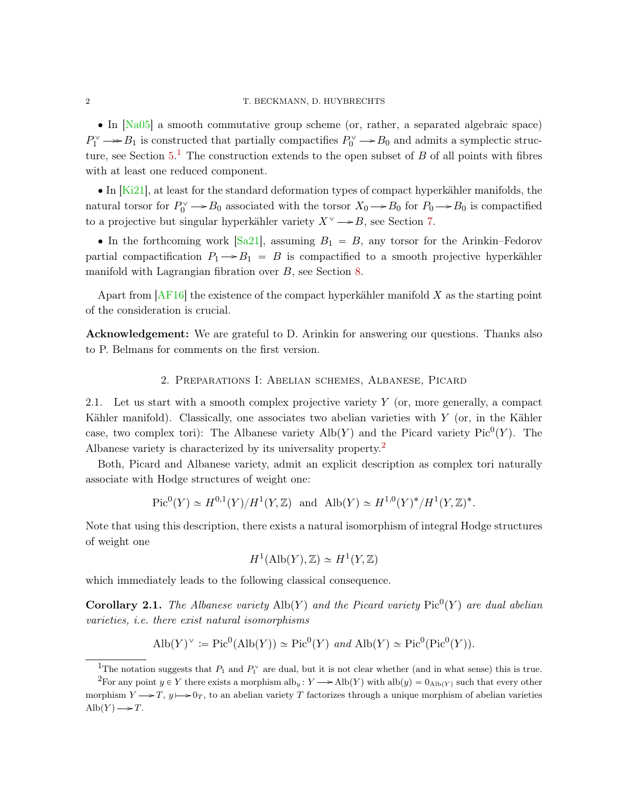<span id="page-1-3"></span>' In [\[Na05\]](#page-18-2) a smooth commutative group scheme (or, rather, a separated algebraic space)  $P_1^{\vee} \longrightarrow B_1$  is constructed that partially compactifies  $P_0^{\vee} \longrightarrow B_0$  and admits a symplectic structure, see Section  $5<sup>1</sup>$  $5<sup>1</sup>$  $5<sup>1</sup>$ . The construction extends to the open subset of B of all points with fibres with at least one reduced component.

 $\bullet$  In  $\overline{Ki21}$ , at least for the standard deformation types of compact hyperkähler manifolds, the natural torsor for  $P_0^{\vee} \to B_0$  associated with the torsor  $X_0 \to B_0$  for  $P_0 \to B_0$  is compactified to a projective but singular hyperkähler variety  $X^{\vee} \rightarrow B$ , see Section [7.](#page-15-0)

• In the forthcoming work  $[Sa21]$ , assuming  $B_1 = B$ , any torsor for the Arinkin–Fedorov partial compactification  $P_1 \rightarrow B_1 = B$  is compactified to a smooth projective hyperkähler manifold with Lagrangian fibration over B, see Section [8.](#page-17-0)

Apart from  $AF16$  the existence of the compact hyperkähler manifold X as the starting point of the consideration is crucial.

Acknowledgement: We are grateful to D. Arinkin for answering our questions. Thanks also to P. Belmans for comments on the first version.

### 2. Preparations I: Abelian schemes, Albanese, Picard

<span id="page-1-2"></span>2.1. Let us start with a smooth complex projective variety Y (or, more generally, a compact Kähler manifold). Classically, one associates two abelian varieties with Y (or, in the Kähler case, two complex tori): The Albanese variety  $\text{Alb}(Y)$  and the Picard variety Pic<sup>0</sup> $(Y)$ . The Albanese variety is characterized by its universality property.[2](#page-1-1)

Both, Picard and Albanese variety, admit an explicit description as complex tori naturally associate with Hodge structures of weight one:

$$
\text{Pic}^0(Y) \simeq H^{0,1}(Y)/H^1(Y,\mathbb{Z})
$$
 and  $\text{Alb}(Y) \simeq H^{1,0}(Y)^*/H^1(Y,\mathbb{Z})^*.$ 

Note that using this description, there exists a natural isomorphism of integral Hodge structures of weight one

$$
H^1(\text{Alb}(Y), \mathbb{Z}) \simeq H^1(Y, \mathbb{Z})
$$

which immediately leads to the following classical consequence.

**Corollary 2.1.** The Albanese variety  $\text{Alb}(Y)$  and the Picard variety Pic<sup>0</sup> $(Y)$  are dual abelian varieties, i.e. there exist natural isomorphisms

$$
\text{Alb}(Y)^{\vee} := \text{Pic}^{0}(\text{Alb}(Y)) \simeq \text{Pic}^{0}(Y) \text{ and } \text{Alb}(Y) \simeq \text{Pic}^{0}(\text{Pic}^{0}(Y)).
$$

<span id="page-1-1"></span><span id="page-1-0"></span><sup>&</sup>lt;sup>1</sup>The notation suggests that  $P_1$  and  $P_1^{\vee}$  are dual, but it is not clear whether (and in what sense) this is true.

<sup>&</sup>lt;sup>2</sup>For any point  $y \in Y$  there exists a morphism alb<sub>y</sub>:  $Y \rightarrow \text{Alb}(Y)$  with alb $(y) = 0_{\text{Alb}(Y)}$  such that every other morphism  $Y \rightarrow T$ ,  $y \rightarrow 0_T$ , to an abelian variety T factorizes through a unique morphism of abelian varieties  $\mathrm{Alb}(Y) \longrightarrow T$ .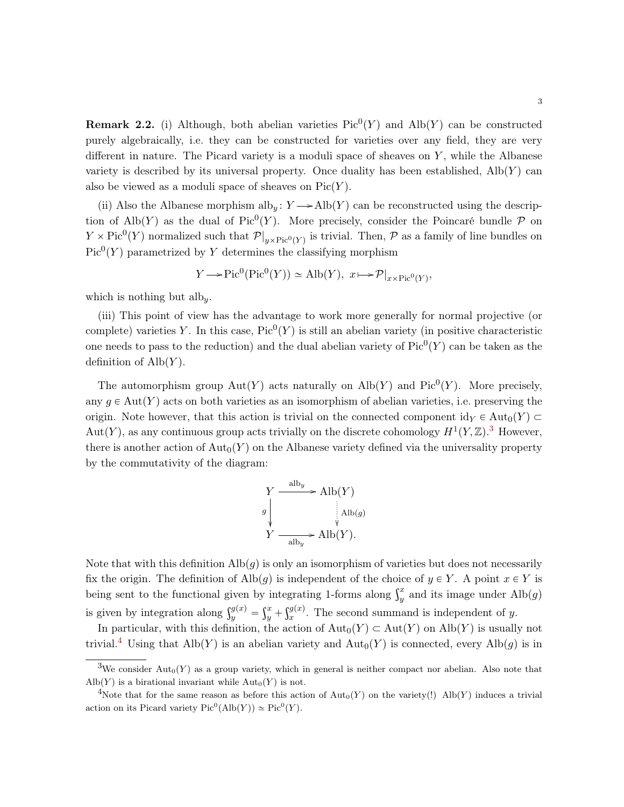<span id="page-2-2"></span>**Remark 2.2.** (i) Although, both abelian varieties  $Pic^0(Y)$  and  $Alb(Y)$  can be constructed purely algebraically, i.e. they can be constructed for varieties over any field, they are very different in nature. The Picard variety is a moduli space of sheaves on  $Y$ , while the Albanese variety is described by its universal property. Once duality has been established,  $\text{Alb}(Y)$  can also be viewed as a moduli space of sheaves on  $Pic(Y)$ .

(ii) Also the Albanese morphism alb<sub>y</sub>:  $Y \rightarrow Alb(Y)$  can be reconstructed using the description of Alb $(Y)$  as the dual of Pic<sup>0</sup> $(Y)$ . More precisely, consider the Poincaré bundle  $P$  on  $Y \times Pic^0(Y)$  normalized such that  $\mathcal{P}|_{y \times Pic^0(Y)}$  is trivial. Then,  $\mathcal P$  as a family of line bundles on  $Pic<sup>0</sup>(Y)$  parametrized by Y determines the classifying morphism

$$
Y \longrightarrow Pic^{0}(\text{Pic}^{0}(Y)) \simeq \text{Alb}(Y), \ x \longmapsto \mathcal{P}|_{x \times \text{Pic}^{0}(Y)},
$$

which is nothing but alby.

(iii) This point of view has the advantage to work more generally for normal projective (or complete) varieties Y. In this case,  $Pic^0(Y)$  is still an abelian variety (in positive characteristic one needs to pass to the reduction) and the dual abelian variety of  $Pic^0(Y)$  can be taken as the definition of  $\text{Alb}(Y)$ .

The automorphism group  $Aut(Y)$  acts naturally on  $\text{Alb}(Y)$  and  $\text{Pic}^0(Y)$ . More precisely, any  $q \in Aut(Y)$  acts on both varieties as an isomorphism of abelian varieties, i.e. preserving the origin. Note however, that this action is trivial on the connected component  $\mathrm{id}_Y \in \mathrm{Aut}_0(Y) \subset$ Aut $(Y)$ , as any continuous group acts trivially on the discrete cohomology  $H^1(Y, \mathbb{Z})$ .<sup>[3](#page-2-0)</sup> However, there is another action of  $\text{Aut}_0(Y)$  on the Albanese variety defined via the universality property by the commutativity of the diagram:

$$
Y \xrightarrow{\text{alb}_y} \text{Alb}(Y)
$$
\n
$$
g \downarrow \qquad \qquad \text{Alb}(g)
$$
\n
$$
Y \xrightarrow{\text{alb}_y} \text{Alb}(Y).
$$

Note that with this definition  $\text{Alb}(g)$  is only an isomorphism of varieties but does not necessarily fix the origin. The definition of Alb $(g)$  is independent of the choice of  $y \in Y$ . A point  $x \in Y$  is has the origin. The definition of Alb $(g)$  is independent of the choice of  $y \in Y$ . A point  $x \in Y$  is<br>being sent to the functional given by integrating 1-forms along  $\int_y^x$  and its image under Alb $(g)$ is given by integration along  $\int_{y}^{g(x)}$  =  $\int_0^1$  $\frac{u}{y}$  +  $\mathfrak{g}$ iat $\mathfrak{g}(x)$  $x^{y(x)}$ . The second summand is independent of y.

In particular, with this definition, the action of  $\text{Aut}_0(Y) \subset \text{Aut}(Y)$  on  $\text{Alb}(Y)$  is usually not trivial.<sup>[4](#page-2-1)</sup> Using that Alb(Y) is an abelian variety and  $\text{Aut}_0(Y)$  is connected, every Alb(g) is in

<span id="page-2-0"></span><sup>&</sup>lt;sup>3</sup>We consider  $\text{Aut}_0(Y)$  as a group variety, which in general is neither compact nor abelian. Also note that  $\mathrm{Alb}(Y)$  is a birational invariant while  $\mathrm{Aut}_0(Y)$  is not.

<span id="page-2-1"></span><sup>&</sup>lt;sup>4</sup>Note that for the same reason as before this action of  $\text{Aut}_0(Y)$  on the variety(!) Alb $(Y)$  induces a trivial action on its Picard variety  $Pic^0(Alb(Y)) \simeq Pic^0(Y)$ .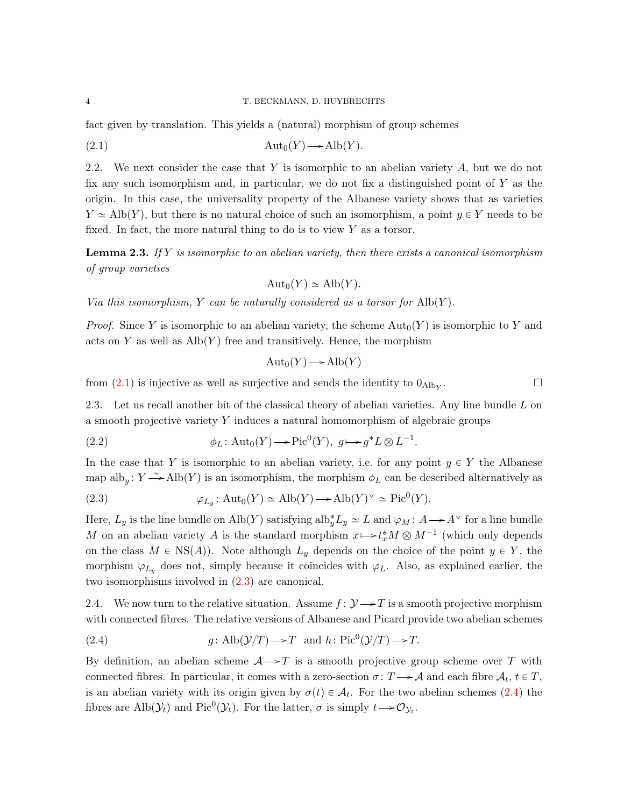fact given by translation. This yields a (natural) morphism of group schemes

$$
(2.1)\quad \text{Aut}_0(Y) \longrightarrow \text{Alb}(Y).
$$

2.2. We next consider the case that Y is isomorphic to an abelian variety  $A$ , but we do not fix any such isomorphism and, in particular, we do not fix a distinguished point of  $Y$  as the origin. In this case, the universality property of the Albanese variety shows that as varieties  $Y \simeq \text{Alb}(Y)$ , but there is no natural choice of such an isomorphism, a point  $y \in Y$  needs to be fixed. In fact, the more natural thing to do is to view  $Y$  as a torsor.

**Lemma 2.3.** If Y is isomorphic to an abelian variety, then there exists a canonical isomorphism of group varieties

<span id="page-3-0"></span>
$$
Aut_0(Y) \simeq Alb(Y).
$$

Via this isomorphism, Y can be naturally considered as a torsor for  $\text{Alb}(Y)$ .

*Proof.* Since Y is isomorphic to an abelian variety, the scheme  $\text{Aut}_0(Y)$  is isomorphic to Y and acts on Y as well as  $\mathrm{Alb}(Y)$  free and transitively. Hence, the morphism

$$
Aut_0(Y) \longrightarrow Alb(Y)
$$

from  $(2.1)$  is injective as well as surjective and sends the identity to  $0_{\text{Alb}_Y}$ . . — Профессор — Профессор — Профессор — Профессор — Профессор — Профессор — Профессор — Профессор — Профессор <br>В профессор — Профессор — Профессор — Профессор — Профессор — Профессор — Профессор — Профессор — Профессор —<br>

<span id="page-3-3"></span>2.3. Let us recall another bit of the classical theory of abelian varieties. Any line bundle L on a smooth projective variety Y induces a natural homomorphism of algebraic groups

(2.2) 
$$
\phi_L: \mathrm{Aut}_0(Y) \longrightarrow \mathrm{Pic}^0(Y), \ g \longmapsto g^* L \otimes L^{-1}.
$$

In the case that Y is isomorphic to an abelian variety, i.e. for any point  $y \in Y$  the Albanese map alb<sub>y</sub>:  $Y \rightarrow \text{Alb}(Y)$  is an isomorphism, the morphism  $\phi_L$  can be described alternatively as

<span id="page-3-1"></span>(2.3) 
$$
\varphi_{L_y}: \text{Aut}_0(Y) \simeq \text{Alb}(Y) \longrightarrow \text{Alb}(Y)^{\vee} \simeq \text{Pic}^0(Y).
$$

Here,  $L_y$  is the line bundle on Alb(Y) satisfying alb $y^*L_y \simeq L$  and  $\varphi_M : A \to A^\vee$  for a line bundle M on an abelian variety A is the standard morphism  $x \mapsto t_x^* M \otimes M^{-1}$  (which only depends on the class  $M \in \text{NS}(A)$ . Note although  $L_y$  depends on the choice of the point  $y \in Y$ , the morphism  $\varphi_{L_y}$  does not, simply because it coincides with  $\varphi_L$ . Also, as explained earlier, the two isomorphisms involved in [\(2.3\)](#page-3-1) are canonical.

2.4. We now turn to the relative situation. Assume  $f: \mathcal{Y} \rightarrow T$  is a smooth projective morphism with connected fibres. The relative versions of Albanese and Picard provide two abelian schemes

<span id="page-3-2"></span>(2.4) 
$$
g: \text{Alb}(\mathcal{Y}/T) \rightarrow T \text{ and } h: \text{Pic}^0(\mathcal{Y}/T) \rightarrow T.
$$

By definition, an abelian scheme  $A \rightarrow T$  is a smooth projective group scheme over T with connected fibres. In particular, it comes with a zero-section  $\sigma: T \to \mathcal{A}$  and each fibre  $\mathcal{A}_t, t \in T$ , is an abelian variety with its origin given by  $\sigma(t) \in \mathcal{A}_t$ . For the two abelian schemes [\(2.4\)](#page-3-2) the fibres are Alb $(\mathcal{Y}_t)$  and Pic<sup>0</sup> $(\mathcal{Y}_t)$ . For the latter,  $\sigma$  is simply  $t \mapsto \mathcal{O}_{\mathcal{Y}_t}$ .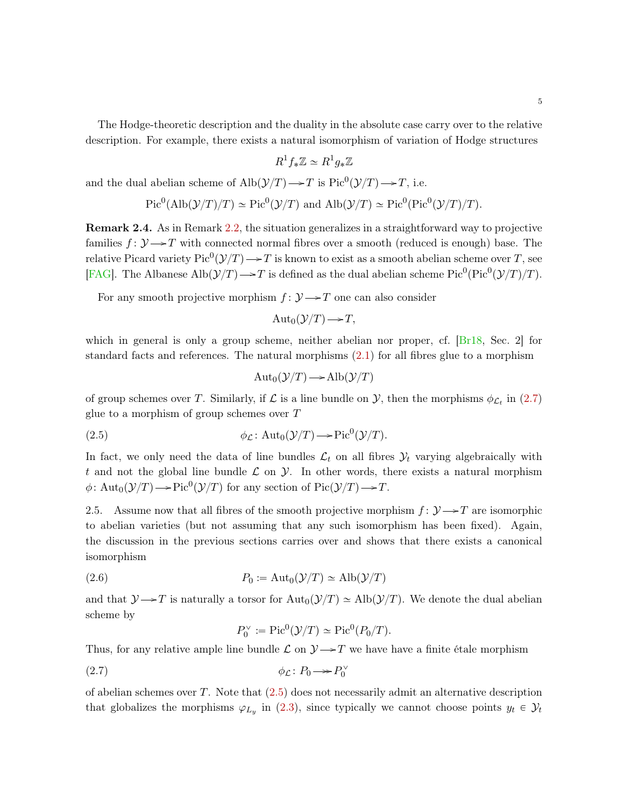<span id="page-4-4"></span>The Hodge-theoretic description and the duality in the absolute case carry over to the relative description. For example, there exists a natural isomorphism of variation of Hodge structures

$$
R^1 f_* \mathbb{Z} \simeq R^1 g_* \mathbb{Z}
$$

and the dual abelian scheme of  $\text{Alb}(\mathcal{Y}/T) \longrightarrow T$  is  $\text{Pic}^0(\mathcal{Y}/T) \longrightarrow T$ , i.e.

$$
Pic^{0}(\text{Alb}(\mathcal{Y}/T)/T) \simeq Pic^{0}(\mathcal{Y}/T) \text{ and } \text{Alb}(\mathcal{Y}/T) \simeq Pic^{0}(\text{Pic}^{0}(\mathcal{Y}/T)/T).
$$

<span id="page-4-3"></span>Remark 2.4. As in Remark [2.2,](#page-2-2) the situation generalizes in a straightforward way to projective families  $f: \mathcal{Y} \rightarrow T$  with connected normal fibres over a smooth (reduced is enough) base. The relative Picard variety  $\text{Pic}^0(\mathcal{Y}/T) \longrightarrow T$  is known to exist as a smooth abelian scheme over T, see [\[FAG\]](#page-18-5). The Albanese Alb $(\mathcal{Y}/T) \rightarrow T$  is defined as the dual abelian scheme Pic<sup>0</sup>(Pic<sup>0</sup>( $\mathcal{Y}/T$ )/T).

For any smooth projective morphism  $f: \mathcal{Y} \rightarrow T$  one can also consider

$$
Aut_0(\mathcal{Y}/T) \longrightarrow T,
$$

which in general is only a group scheme, neither abelian nor proper, cf.  $Br18$ , Sec. 2 for standard facts and references. The natural morphisms [\(2.1\)](#page-3-0) for all fibres glue to a morphism

<span id="page-4-1"></span>
$$
Aut_0(\mathcal{Y}/T) \longrightarrow Alb(\mathcal{Y}/T)
$$

of group schemes over T. Similarly, if  $\mathcal L$  is a line bundle on  $\mathcal Y$ , then the morphisms  $\phi_{\mathcal L_t}$  in [\(2.7\)](#page-4-0) glue to a morphism of group schemes over  $T$ 

(2.5) 
$$
\phi_{\mathcal{L}}: \mathrm{Aut}_0(\mathcal{Y}/T) \longrightarrow \mathrm{Pic}^0(\mathcal{Y}/T).
$$

In fact, we only need the data of line bundles  $\mathcal{L}_t$  on all fibres  $\mathcal{Y}_t$  varying algebraically with t and not the global line bundle  $\mathcal L$  on  $\mathcal Y$ . In other words, there exists a natural morphism  $\phi \colon \text{Aut}_0(\mathcal{Y}/T) \longrightarrow \text{Pic}^0(\mathcal{Y}/T)$  for any section of  $\text{Pic}(\mathcal{Y}/T) \longrightarrow T$ .

2.5. Assume now that all fibres of the smooth projective morphism  $f: \mathcal{Y} \rightarrow T$  are isomorphic to abelian varieties (but not assuming that any such isomorphism has been fixed). Again, the discussion in the previous sections carries over and shows that there exists a canonical isomorphism

(2.6) 
$$
P_0 := \text{Aut}_0(\mathcal{Y}/T) \simeq \text{Alb}(\mathcal{Y}/T)
$$

and that  $\mathcal{Y} \rightarrow T$  is naturally a torsor for  $\text{Aut}_0(\mathcal{Y}/T) \simeq \text{Alb}(\mathcal{Y}/T)$ . We denote the dual abelian scheme by

<span id="page-4-2"></span><span id="page-4-0"></span>
$$
P_0^{\vee} := \mathrm{Pic}^0(\mathcal{Y}/T) \simeq \mathrm{Pic}^0(P_0/T).
$$

Thus, for any relative ample line bundle  $\mathcal L$  on  $\mathcal Y \rightarrow T$  we have have a finite étale morphism

$$
\phi_{\mathcal{L}} \colon P_0 \longrightarrow P_0^{\vee}
$$

of abelian schemes over  $T$ . Note that  $(2.5)$  does not necessarily admit an alternative description that globalizes the morphisms  $\varphi_{L_y}$  in [\(2.3\)](#page-3-1), since typically we cannot choose points  $y_t \in \mathcal{Y}_t$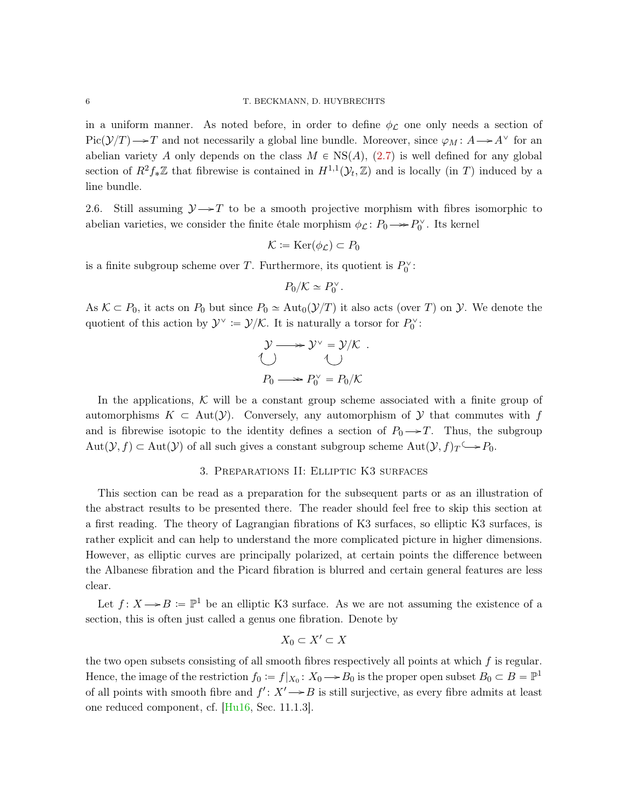<span id="page-5-2"></span>in a uniform manner. As noted before, in order to define  $\phi_C$  one only needs a section of  $Pic(\mathcal{Y}/T) \longrightarrow T$  and not necessarily a global line bundle. Moreover, since  $\varphi_M : A \longrightarrow A^\vee$  for an abelian variety A only depends on the class  $M \in NS(A)$ , [\(2.7\)](#page-4-0) is well defined for any global section of  $R^2 f_* \mathbb{Z}$  that fibrewise is contained in  $H^{1,1}(\mathcal{Y}_t, \mathbb{Z})$  and is locally (in T) induced by a line bundle.

<span id="page-5-0"></span>2.6. Still assuming  $\mathcal{Y} \rightarrow T$  to be a smooth projective morphism with fibres isomorphic to abelian varieties, we consider the finite étale morphism  $\phi_{\mathcal{L}}: P_0 \longrightarrow P_0^{\vee}$ . Its kernel

$$
\mathcal{K} \coloneqq \operatorname{Ker}(\phi_{\mathcal{L}}) \subset P_0
$$

is a finite subgroup scheme over  $T$ . Furthermore, its quotient is  $P_0^{\vee}$ :

$$
P_0/K \simeq P_0^{\vee}.
$$

As  $K \subset P_0$ , it acts on  $P_0$  but since  $P_0 \simeq \text{Aut}_0(\mathcal{Y}/T)$  it also acts (over T) on Y. We denote the quotient of this action by  $\mathcal{Y}^{\vee} := \mathcal{Y}/\mathcal{K}$ . It is naturally a torsor for  $P_0^{\vee}$ :

$$
\mathcal{Y} \longrightarrow \mathcal{Y}^{\vee} = \mathcal{Y}/\mathcal{K} .
$$
  

$$
\bigcup_{P_0 \longrightarrow P_0^{\vee}} = P_0/\mathcal{K}
$$

In the applications,  $\mathcal K$  will be a constant group scheme associated with a finite group of automorphisms  $K \subset \text{Aut}(\mathcal{Y})$ . Conversely, any automorphism of Y that commutes with f and is fibrewise isotopic to the identity defines a section of  $P_0 \rightarrow T$ . Thus, the subgroup  $Aut(\mathcal{Y}, f) \subset Aut(\mathcal{Y})$  of all such gives a constant subgroup scheme  $Aut(\mathcal{Y}, f)_T \longrightarrow P_0$ .

# 3. Preparations II: Elliptic K3 surfaces

<span id="page-5-1"></span>This section can be read as a preparation for the subsequent parts or as an illustration of the abstract results to be presented there. The reader should feel free to skip this section at a first reading. The theory of Lagrangian fibrations of K3 surfaces, so elliptic K3 surfaces, is rather explicit and can help to understand the more complicated picture in higher dimensions. However, as elliptic curves are principally polarized, at certain points the difference between the Albanese fibration and the Picard fibration is blurred and certain general features are less clear.

Let  $f: X \longrightarrow B := \mathbb{P}^1$  be an elliptic K3 surface. As we are not assuming the existence of a section, this is often just called a genus one fibration. Denote by

$$
X_0 \subset X' \subset X
$$

the two open subsets consisting of all smooth fibres respectively all points at which  $f$  is regular. Hence, the image of the restriction  $f_0 := f|_{X_0}: X_0 \to B_0$  is the proper open subset  $B_0 \subset B = \mathbb{P}^1$ of all points with smooth fibre and  $f' : X' \rightarrow B$  is still surjective, as every fibre admits at least one reduced component, cf. [\[Hu16,](#page-18-7) Sec. 11.1.3].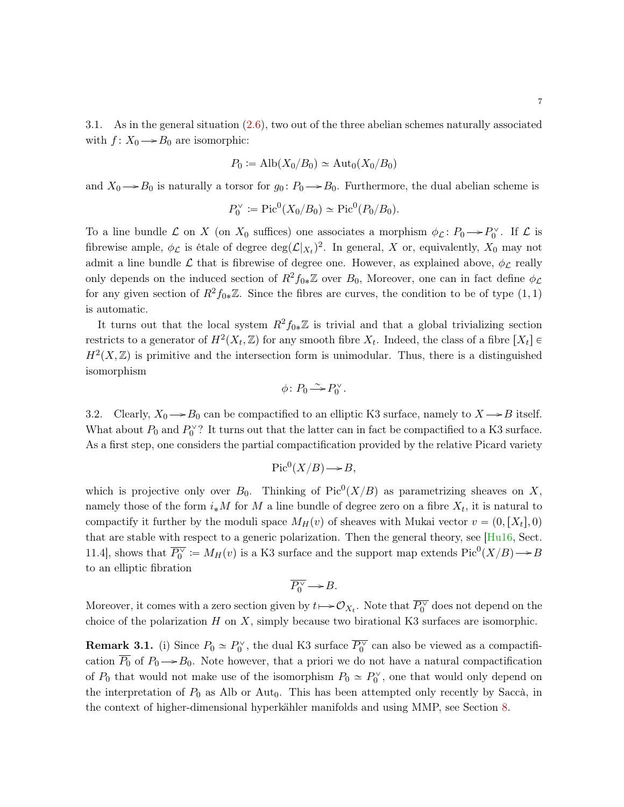<span id="page-6-0"></span>3.1. As in the general situation [\(2.6\)](#page-4-2), two out of the three abelian schemes naturally associated with  $f: X_0 \longrightarrow B_0$  are isomorphic:

$$
P_0 := \text{Alb}(X_0/B_0) \simeq \text{Aut}_0(X_0/B_0)
$$

and  $X_0 \longrightarrow B_0$  is naturally a torsor for  $g_0: P_0 \longrightarrow B_0$ . Furthermore, the dual abelian scheme is

$$
P_0^{\vee}
$$
 := Pic<sup>0</sup> $(X_0/B_0)$   $\simeq$  Pic<sup>0</sup> $(P_0/B_0)$ .

To a line bundle  $\mathcal L$  on X (on  $X_0$  suffices) one associates a morphism  $\phi_{\mathcal L}: P_0 \to P_0^{\vee}$ . If  $\mathcal L$  is fibrewise ample,  $\phi_{\mathcal{L}}$  is étale of degree  $\deg(\mathcal{L}|_{X_t})^2$ . In general, X or, equivalently,  $X_0$  may not admit a line bundle  $\mathcal L$  that is fibrewise of degree one. However, as explained above,  $\phi_{\mathcal L}$  really only depends on the induced section of  $R^2f_{0*}\mathbb{Z}$  over  $B_0$ , Moreover, one can in fact define  $\phi_{\mathcal{L}}$ for any given section of  $R^2f_{0*}\mathbb{Z}$ . Since the fibres are curves, the condition to be of type  $(1, 1)$ is automatic.

It turns out that the local system  $R^2f_{0*}\mathbb{Z}$  is trivial and that a global trivializing section restricts to a generator of  $H^2(X_t, \mathbb{Z})$  for any smooth fibre  $X_t$ . Indeed, the class of a fibre  $[X_t] \in$  $H<sup>2</sup>(X, \mathbb{Z})$  is primitive and the intersection form is unimodular. Thus, there is a distinguished isomorphism

$$
\phi\colon P_0\!\stackrel{\sim}{\longrightarrow}\! P_0^\vee.
$$

3.2. Clearly,  $X_0 \rightarrow B_0$  can be compactified to an elliptic K3 surface, namely to  $X \rightarrow B$  itself. What about  $P_0$  and  $P_0^{\vee}$ ? It turns out that the latter can in fact be compactified to a K3 surface. As a first step, one considers the partial compactification provided by the relative Picard variety

$$
Pic^0(X/B) \longrightarrow B,
$$

which is projective only over  $B_0$ . Thinking of Pic<sup>0</sup>(X/B) as parametrizing sheaves on X, namely those of the form  $i_*M$  for M a line bundle of degree zero on a fibre  $X_t$ , it is natural to compactify it further by the moduli space  $M_H(v)$  of sheaves with Mukai vector  $v = (0, [X_t], 0)$ that are stable with respect to a generic polarization. Then the general theory, see [\[Hu16,](#page-18-7) Sect. 11.4], shows that  $\overline{P_0^{\vee}} := M_H(v)$  is a K3 surface and the support map extends  $Pic^0(X/B) \to B$ to an elliptic fibration

$$
\overline{P_0^{\vee}} \to B.
$$

Moreover, it comes with a zero section given by  $t \mapsto \mathcal{O}_{X_t}$ . Note that  $\overline{P_0^{\vee}}$  does not depend on the choice of the polarization  $H$  on  $X$ , simply because two birational K3 surfaces are isomorphic.

**Remark 3.1.** (i) Since  $P_0 \simeq P_0^{\vee}$ , the dual K3 surface  $\overline{P_0^{\vee}}$  can also be viewed as a compactification  $P_0$  of  $P_0 \rightarrow B_0$ . Note however, that a priori we do not have a natural compactification of  $P_0$  that would not make use of the isomorphism  $P_0 \simeq P_0^{\vee}$ , one that would only depend on the interpretation of  $P_0$  as Alb or Aut<sub>0</sub>. This has been attempted only recently by Saccà, in the context of higher-dimensional hyperkähler manifolds and using MMP, see Section [8.](#page-17-0)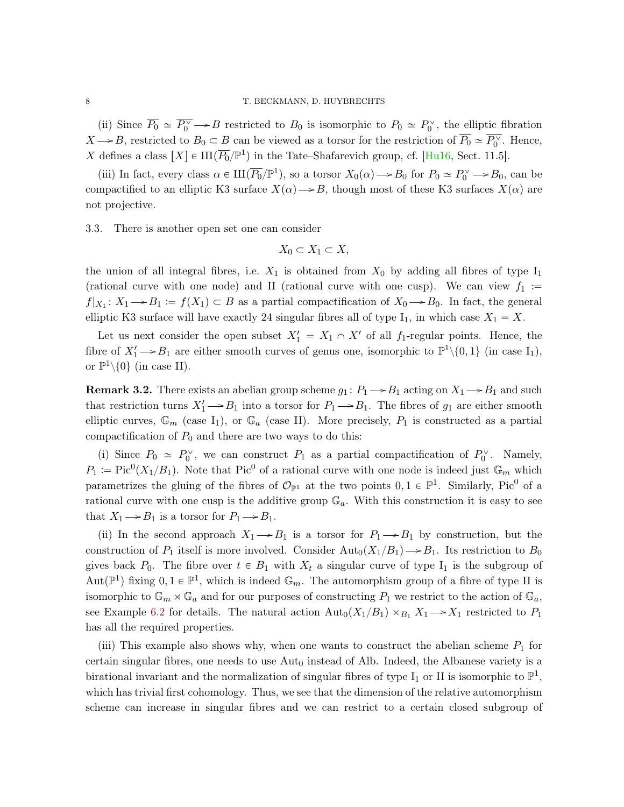<span id="page-7-0"></span>(ii) Since  $\overline{P_0} \simeq \overline{P_0^{\vee}} \rightarrow B$  restricted to  $B_0$  is isomorphic to  $P_0 \simeq P_0^{\vee}$ , the elliptic fibration  $X \rightarrow B$ , restricted to  $B_0 \subset B$  can be viewed as a torsor for the restriction of  $\overline{P_0} \simeq \overline{P_0^{\vee}}$ . Hence, X defines a class  $[X] \in \mathrm{III}(\overline{P_0}/\mathbb{P}^1)$  in the Tate–Shafarevich group, cf. [\[Hu16,](#page-18-7) Sect. 11.5].

(iii) In fact, every class  $\alpha \in \mathrm{III}(\overline{P_0}/\mathbb{P}^1)$ , so a torsor  $X_0(\alpha) \to B_0$  for  $P_0 \simeq P_0^{\vee} \to B_0$ , can be compactified to an elliptic K3 surface  $X(\alpha) \rightarrow B$ , though most of these K3 surfaces  $X(\alpha)$  are not projective.

3.3. There is another open set one can consider

$$
X_0 \subset X_1 \subset X,
$$

the union of all integral fibres, i.e.  $X_1$  is obtained from  $X_0$  by adding all fibres of type  $I_1$ (rational curve with one node) and II (rational curve with one cusp). We can view  $f_1$  :=  $f|_{X_1}: X_1 \to B_1 := f(X_1) \subset B$  as a partial compactification of  $X_0 \to B_0$ . In fact, the general elliptic K3 surface will have exactly 24 singular fibres all of type  $I_1$ , in which case  $X_1 = X$ .

Let us next consider the open subset  $X'_1 = X_1 \cap X'$  of all  $f_1$ -regular points. Hence, the fibre of  $X'_1 \rightarrow B_1$  are either smooth curves of genus one, isomorphic to  $\mathbb{P}^1 \setminus \{0,1\}$  (in case  $I_1$ ), or  $\mathbb{P}^1\backslash\{0\}$  (in case II).

**Remark 3.2.** There exists an abelian group scheme  $g_1: P_1 \rightarrow B_1$  acting on  $X_1 \rightarrow B_1$  and such that restriction turns  $X'_1 \rightarrow B_1$  into a torsor for  $P_1 \rightarrow B_1$ . The fibres of  $g_1$  are either smooth elliptic curves,  $\mathbb{G}_m$  (case I<sub>1</sub>), or  $\mathbb{G}_a$  (case II). More precisely,  $P_1$  is constructed as a partial compactification of  $P_0$  and there are two ways to do this:

(i) Since  $P_0 \simeq P_0^{\vee}$ , we can construct  $P_1$  as a partial compactification of  $P_0^{\vee}$ . Namely,  $P_1 := Pic^0(X_1/B_1)$ . Note that Pic<sup>0</sup> of a rational curve with one node is indeed just  $\mathbb{G}_m$  which parametrizes the gluing of the fibres of  $\mathcal{O}_{\mathbb{P}^1}$  at the two points  $0,1 \in \mathbb{P}^1$ . Similarly, Pic<sup>0</sup> of a rational curve with one cusp is the additive group  $\mathbb{G}_a$ . With this construction it is easy to see that  $X_1 \longrightarrow B_1$  is a torsor for  $P_1 \longrightarrow B_1$ .

(ii) In the second approach  $X_1 \rightarrow B_1$  is a torsor for  $P_1 \rightarrow B_1$  by construction, but the construction of  $P_1$  itself is more involved. Consider  $\text{Aut}_0(X_1/B_1) \rightarrow B_1$ . Its restriction to  $B_0$ gives back  $P_0$ . The fibre over  $t \in B_1$  with  $X_t$  a singular curve of type I<sub>1</sub> is the subgroup of Aut $(\mathbb{P}^1)$  fixing  $0, 1 \in \mathbb{P}^1$ , which is indeed  $\mathbb{G}_m$ . The automorphism group of a fibre of type II is isomorphic to  $\mathbb{G}_m \rtimes \mathbb{G}_a$  and for our purposes of constructing  $P_1$  we restrict to the action of  $\mathbb{G}_a$ , see Example [6.2](#page-13-0) for details. The natural action  $\text{Aut}_0(X_1/B_1) \times_{B_1} X_1 \longrightarrow X_1$  restricted to  $P_1$ has all the required properties.

(iii) This example also shows why, when one wants to construct the abelian scheme  $P_1$  for certain singular fibres, one needs to use  $\text{Aut}_0$  instead of Alb. Indeed, the Albanese variety is a birational invariant and the normalization of singular fibres of type  $I_1$  or II is isomorphic to  $\mathbb{P}^1$ , which has trivial first cohomology. Thus, we see that the dimension of the relative automorphism scheme can increase in singular fibres and we can restrict to a certain closed subgroup of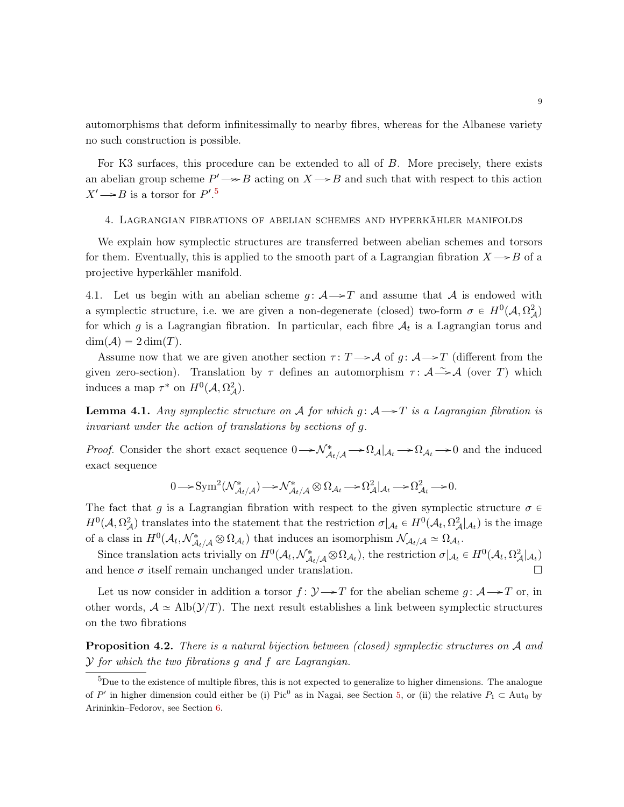automorphisms that deform infinitessimally to nearby fibres, whereas for the Albanese variety no such construction is possible.

For K3 surfaces, this procedure can be extended to all of B. More precisely, there exists an abelian group scheme  $P' \rightarrow B$  acting on  $X \rightarrow B$  and such that with respect to this action  $X' \rightarrow B$  is a torsor for  $P'.^5$  $P'.^5$ 

### 4. Lagrangian fibrations of abelian schemes and hyperkähler manifolds

We explain how symplectic structures are transferred between abelian schemes and torsors for them. Eventually, this is applied to the smooth part of a Lagrangian fibration  $X \rightarrow B$  of a projective hyperkähler manifold.

4.1. Let us begin with an abelian scheme  $g: \mathcal{A} \rightarrow \mathcal{T}$  and assume that A is endowed with a symplectic structure, i.e. we are given a non-degenerate (closed) two-form  $\sigma \in H^0(\mathcal{A}, \Omega^2_{\mathcal{A}})$ for which g is a Lagrangian fibration. In particular, each fibre  $A_t$  is a Lagrangian torus and  $\dim(A) = 2 \dim(T)$ .

Assume now that we are given another section  $\tau : T \rightarrow \mathcal{A}$  of  $g : \mathcal{A} \rightarrow T$  (different from the given zero-section). Translation by  $\tau$  defines an automorphism  $\tau : A \rightarrow A$  (over T) which induces a map  $\tau^*$  on  $H^0(\mathcal{A}, \Omega^2_{\mathcal{A}})$ .

**Lemma 4.1.** Any symplectic structure on A for which  $g: A \rightarrow T$  is a Lagrangian fibration is invariant under the action of translations by sections of g.

*Proof.* Consider the short exact sequence  $0 \to \mathcal{N}^*_{\mathcal{A}_t/\mathcal{A}} \to \Omega_{\mathcal{A}}|_{\mathcal{A}_t} \to 0$  and the induced exact sequence

$$
0 \longrightarrow \text{Sym}^2(\mathcal{N}^*_{\mathcal{A}_t/\mathcal{A}}) \longrightarrow \mathcal{N}^*_{\mathcal{A}_t/\mathcal{A}} \otimes \Omega_{\mathcal{A}_t} \longrightarrow \Omega^2_{\mathcal{A}}|_{\mathcal{A}_t} \longrightarrow \Omega^2_{\mathcal{A}_t} \longrightarrow 0.
$$

The fact that g is a Lagrangian fibration with respect to the given symplectic structure  $\sigma \in$  $H^0(\mathcal{A}, \Omega^2_{\mathcal{A}})$  translates into the statement that the restriction  $\sigma|_{\mathcal{A}_t} \in H^0(\mathcal{A}_t, \Omega^2_{\mathcal{A}}|_{\mathcal{A}_t})$  is the image of a class in  $H^0(\mathcal{A}_t, \mathcal{N}^*_{\mathcal{A}_t/\mathcal{A}} \otimes \Omega_{\mathcal{A}_t})$  that induces an isomorphism  $\mathcal{N}_{\mathcal{A}_t/\mathcal{A}} \simeq \Omega_{\mathcal{A}_t}$ .

Since translation acts trivially on  $H^0(\mathcal{A}_t, \mathcal{N}^*_{\mathcal{A}_t/\mathcal{A}} \otimes \Omega_{\mathcal{A}_t})$ , the restriction  $\sigma|_{\mathcal{A}_t} \in H^0(\mathcal{A}_t, \Omega^2_{\mathcal{A}}|_{\mathcal{A}_t})$ and hence  $\sigma$  itself remain unchanged under translation.

Let us now consider in addition a torsor  $f: \mathcal{Y} \rightarrow T$  for the abelian scheme  $q: \mathcal{A} \rightarrow T$  or, in other words,  $A \simeq \text{Alb}(\mathcal{Y}/T)$ . The next result establishes a link between symplectic structures on the two fibrations

<span id="page-8-1"></span>**Proposition 4.2.** There is a natural bijection between (closed) symplectic structures on  $A$  and  $Y$  for which the two fibrations q and f are Lagrangian.

<span id="page-8-0"></span><sup>&</sup>lt;sup>5</sup>Due to the existence of multiple fibres, this is not expected to generalize to higher dimensions. The analogue of P' in higher dimension could either be (i) Pic<sup>0</sup> as in Nagai, see Section [5,](#page-11-0) or (ii) the relative  $P_1 \subset \text{Aut}_0$  by Arininkin–Fedorov, see Section [6.](#page-12-0)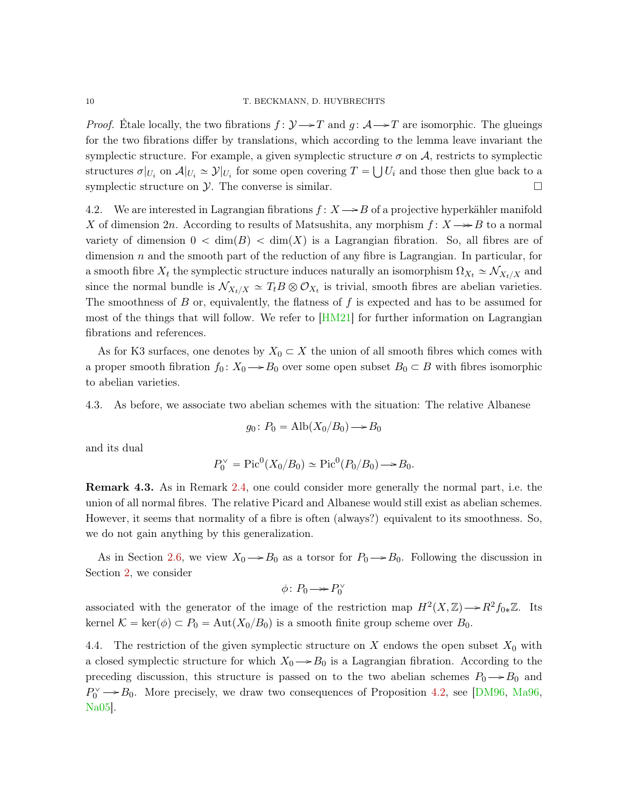### <span id="page-9-0"></span>10 T. BECKMANN, D. HUYBRECHTS

*Proof.* Étale locally, the two fibrations  $f: \mathcal{Y} \rightarrow T$  and  $g: \mathcal{A} \rightarrow T$  are isomorphic. The glueings for the two fibrations differ by translations, which according to the lemma leave invariant the symplectic structure. For example, a given symplectic structure  $\sigma$  on  $\mathcal{A}$ , restricts to symplectic structures  $\sigma|_{U_i}$  on  $\mathcal{A}|_{U_i} \simeq \mathcal{Y}|_{U_i}$  for some open covering  $T = \bigcup U_i$  and those then glue back to a symplectic structure on  $\mathcal Y$ . The converse is similar.

4.2. We are interested in Lagrangian fibrations  $f: X \rightarrow B$  of a projective hyperkähler manifold X of dimension 2n. According to results of Matsushita, any morphism  $f: X \rightarrow B$  to a normal variety of dimension  $0 < \dim(B) < \dim(X)$  is a Lagrangian fibration. So, all fibres are of dimension  $n$  and the smooth part of the reduction of any fibre is Lagrangian. In particular, for a smooth fibre  $X_t$  the symplectic structure induces naturally an isomorphism  $\Omega_{X_t} \simeq \mathcal{N}_{X_t/X}$  and since the normal bundle is  $\mathcal{N}_{X_t/X} \simeq T_t B \otimes \mathcal{O}_{X_t}$  is trivial, smooth fibres are abelian varieties. The smoothness of  $B$  or, equivalently, the flatness of  $f$  is expected and has to be assumed for most of the things that will follow. We refer to [\[HM21\]](#page-18-8) for further information on Lagrangian fibrations and references.

As for K3 surfaces, one denotes by  $X_0 \subset X$  the union of all smooth fibres which comes with a proper smooth fibration  $f_0: X_0 \to B_0$  over some open subset  $B_0 \subset B$  with fibres isomorphic to abelian varieties.

4.3. As before, we associate two abelian schemes with the situation: The relative Albanese

$$
g_0 \colon P_0 = \text{Alb}(X_0/B_0) \longrightarrow B_0
$$

and its dual

$$
P_0^{\vee}
$$
 = Pic<sup>0</sup>( $X_0/B_0$ )  $\simeq$  Pic<sup>0</sup>( $P_0/B_0$ )  $\rightarrow$   $B_0$ .

Remark 4.3. As in Remark [2.4,](#page-4-3) one could consider more generally the normal part, i.e. the union of all normal fibres. The relative Picard and Albanese would still exist as abelian schemes. However, it seems that normality of a fibre is often (always?) equivalent to its smoothness. So, we do not gain anything by this generalization.

As in Section [2.6,](#page-5-0) we view  $X_0 \rightarrow B_0$  as a torsor for  $P_0 \rightarrow B_0$ . Following the discussion in Section [2,](#page-1-2) we consider

$$
\phi\colon P_0 {\:\longrightarrow\:} P_0^{\vee}
$$

associated with the generator of the image of the restriction map  $H^2(X,\mathbb{Z}) \longrightarrow R^2f_{0*}\mathbb{Z}$ . Its kernel  $K = \text{ker}(\phi) \subset P_0 = \text{Aut}(X_0/B_0)$  is a smooth finite group scheme over  $B_0$ .

4.4. The restriction of the given symplectic structure on X endows the open subset  $X_0$  with a closed symplectic structure for which  $X_0 \rightarrow B_0$  is a Lagrangian fibration. According to the preceding discussion, this structure is passed on to the two abelian schemes  $P_0 \rightarrow B_0$  and  $P_0^{\vee} \rightarrow B_0$ . More precisely, we draw two consequences of Proposition [4.2,](#page-8-1) see [\[DM96,](#page-18-9) [Ma96,](#page-18-10) [Na05\]](#page-18-2).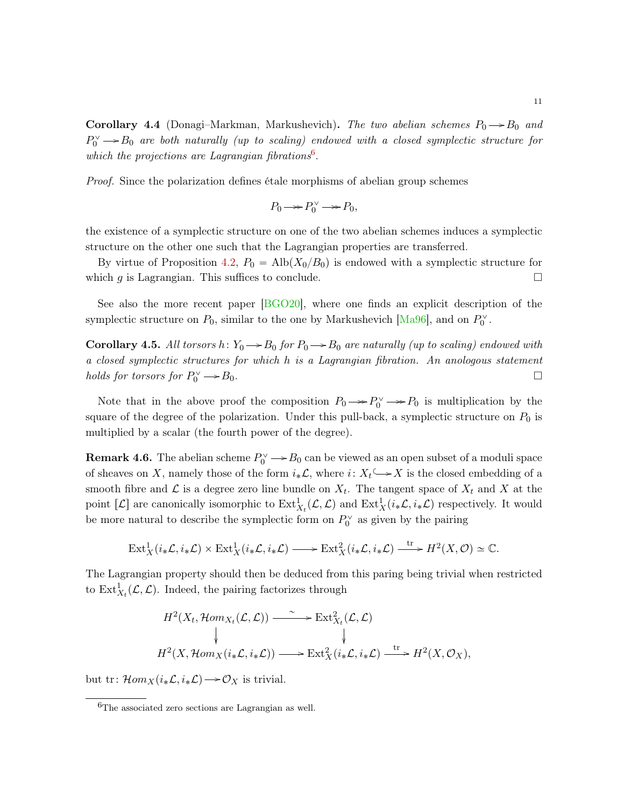<span id="page-10-2"></span>**Corollary 4.4** (Donagi–Markman, Markushevich). The two abelian schemes  $P_0 \rightarrow B_0$  and  $P_0^{\vee} \longrightarrow B_0$  are both naturally (up to scaling) endowed with a closed symplectic structure for which the projections are Lagrangian fibrations $6$ .

Proof. Since the polarization defines étale morphisms of abelian group schemes

$$
P_0 \longrightarrow P_0^{\vee} \longrightarrow P_0,
$$

the existence of a symplectic structure on one of the two abelian schemes induces a symplectic structure on the other one such that the Lagrangian properties are transferred.

By virtue of Proposition [4.2,](#page-8-1)  $P_0 = \text{Alb}(X_0/B_0)$  is endowed with a symplectic structure for which g is Lagrangian. This suffices to conclude.  $\Box$ 

See also the more recent paper [\[BGO20\]](#page-18-11), where one finds an explicit description of the symplectic structure on  $P_0$ , similar to the one by Markushevich [\[Ma96\]](#page-18-10), and on  $P_0^{\vee}$ .

**Corollary 4.5.** All torsors  $h: Y_0 \rightarrow B_0$  for  $P_0 \rightarrow B_0$  are naturally (up to scaling) endowed with a closed symplectic structures for which h is a Lagrangian fibration. An anologous statement holds for torsors for  $P_0^{\vee}$  $B_0$ .

Note that in the above proof the composition  $P_0 \rightarrow P_0^{\vee} \rightarrow P_0$  is multiplication by the square of the degree of the polarization. Under this pull-back, a symplectic structure on  $P_0$  is multiplied by a scalar (the fourth power of the degree).

<span id="page-10-1"></span>**Remark 4.6.** The abelian scheme  $P_0^{\vee} \to B_0$  can be viewed as an open subset of a moduli space of sheaves on X, namely those of the form  $i_*\mathcal{L}$ , where  $i: X_t \rightarrow X$  is the closed embedding of a smooth fibre and  $\mathcal L$  is a degree zero line bundle on  $X_t$ . The tangent space of  $X_t$  and X at the point  $[\mathcal{L}]$  are canonically isomorphic to  $\text{Ext}^1_{X_t}(\mathcal{L}, \mathcal{L})$  and  $\text{Ext}^1_X(i_*\mathcal{L}, i_*\mathcal{L})$  respectively. It would be more natural to describe the symplectic form on  $P_0^{\vee}$  as given by the pairing

$$
\text{Ext}^1_X(i_*\mathcal{L}, i_*\mathcal{L}) \times \text{Ext}^1_X(i_*\mathcal{L}, i_*\mathcal{L}) \longrightarrow \text{Ext}^2_X(i_*\mathcal{L}, i_*\mathcal{L}) \xrightarrow{\text{tr}} H^2(X, \mathcal{O}) \simeq \mathbb{C}.
$$

The Lagrangian property should then be deduced from this paring being trivial when restricted to  $\text{Ext}^1_{X_t}(\mathcal{L}, \mathcal{L})$ . Indeed, the pairing factorizes through

$$
H^{2}(X_{t}, \mathcal{H}om_{X_{t}}(\mathcal{L}, \mathcal{L})) \xrightarrow{\sim} \operatorname{Ext}^{2}_{X_{t}}(\mathcal{L}, \mathcal{L})
$$
  
\n
$$
\downarrow \qquad \qquad \downarrow
$$
  
\n
$$
H^{2}(X, \mathcal{H}om_{X}(i_{*}\mathcal{L}, i_{*}\mathcal{L})) \longrightarrow \operatorname{Ext}^{2}_{X}(i_{*}\mathcal{L}, i_{*}\mathcal{L}) \xrightarrow{\operatorname{tr}} H^{2}(X, \mathcal{O}_{X}),
$$

but tr:  $\mathcal{H}om_X(i_*\mathcal{L}, i_*\mathcal{L}) \longrightarrow \mathcal{O}_X$  is trivial.

<span id="page-10-0"></span> ${}^{6}$ The associated zero sections are Lagrangian as well.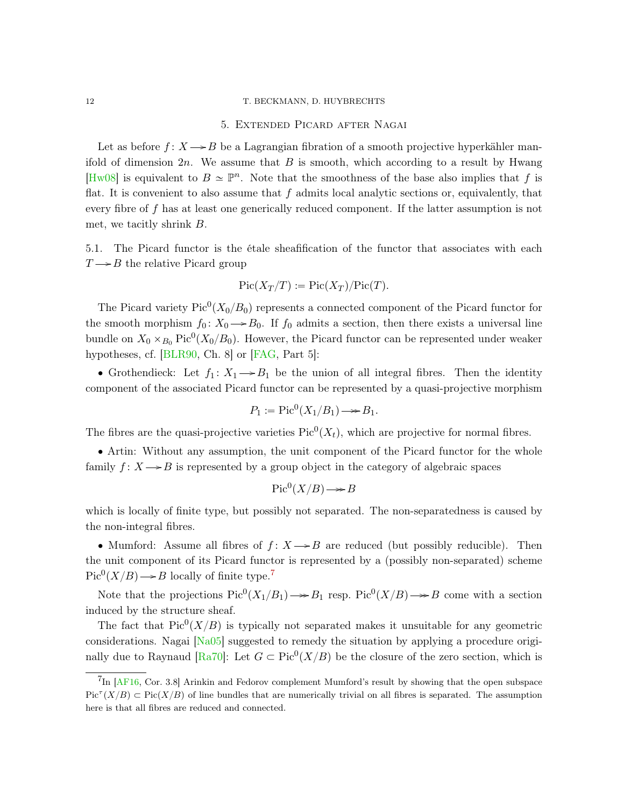#### <span id="page-11-3"></span><span id="page-11-0"></span>12 T. BECKMANN, D. HUYBRECHTS

## 5. Extended Picard after Nagai

Let as before  $f: X \rightarrow B$  be a Lagrangian fibration of a smooth projective hyperkähler manifold of dimension  $2n$ . We assume that B is smooth, which according to a result by Hwang [\[Hw08\]](#page-18-12) is equivalent to  $B \simeq \mathbb{P}^n$ . Note that the smoothness of the base also implies that f is flat. It is convenient to also assume that  $f$  admits local analytic sections or, equivalently, that every fibre of f has at least one generically reduced component. If the latter assumption is not met, we tacitly shrink B.

<span id="page-11-2"></span>5.1. The Picard functor is the étale sheafification of the functor that associates with each  $T \rightarrow B$  the relative Picard group

$$
Pic(X_T/T) := Pic(X_T)/Pic(T).
$$

The Picard variety  $Pic^0(X_0/B_0)$  represents a connected component of the Picard functor for the smooth morphism  $f_0: X_0 \to B_0$ . If  $f_0$  admits a section, then there exists a universal line bundle on  $X_0 \times_{B_0} \text{Pic}^0(X_0/B_0)$ . However, the Picard functor can be represented under weaker hypotheses, cf. [\[BLR90,](#page-18-13) Ch. 8] or [\[FAG,](#page-18-5) Part 5]:

• Grothendieck: Let  $f_1: X_1 \rightarrow B_1$  be the union of all integral fibres. Then the identity component of the associated Picard functor can be represented by a quasi-projective morphism

$$
P_1 := \text{Pic}^0(X_1/B_1) \longrightarrow B_1.
$$

The fibres are the quasi-projective varieties  $Pic^0(X_t)$ , which are projective for normal fibres.

' Artin: Without any assumption, the unit component of the Picard functor for the whole family  $f: X \rightarrow B$  is represented by a group object in the category of algebraic spaces

$$
Pic^0(X/B) \longrightarrow B
$$

which is locally of finite type, but possibly not separated. The non-separatedness is caused by the non-integral fibres.

• Mumford: Assume all fibres of  $f: X \rightarrow B$  are reduced (but possibly reducible). Then the unit component of its Picard functor is represented by a (possibly non-separated) scheme  $Pic^0(X/B) \longrightarrow B$  locally of finite type.<sup>[7](#page-11-1)</sup>

Note that the projections  $Pic^0(X_1/B_1) \rightarrow B_1$  resp.  $Pic^0(X/B) \rightarrow B$  come with a section induced by the structure sheaf.

The fact that  $Pic^0(X/B)$  is typically not separated makes it unsuitable for any geometric considerations. Nagai [\[Na05\]](#page-18-2) suggested to remedy the situation by applying a procedure origi-nally due to Raynaud [\[Ra70\]](#page-18-14): Let  $G \subset Pic^0(X/B)$  be the closure of the zero section, which is

<span id="page-11-1"></span><sup>&</sup>lt;sup>7</sup>In [\[AF16,](#page-18-0) Cor. 3.8] Arinkin and Fedorov complement Mumford's result by showing that the open subspace  $Pic^{+}(X/B) \subset Pic(X/B)$  of line bundles that are numerically trivial on all fibres is separated. The assumption here is that all fibres are reduced and connected.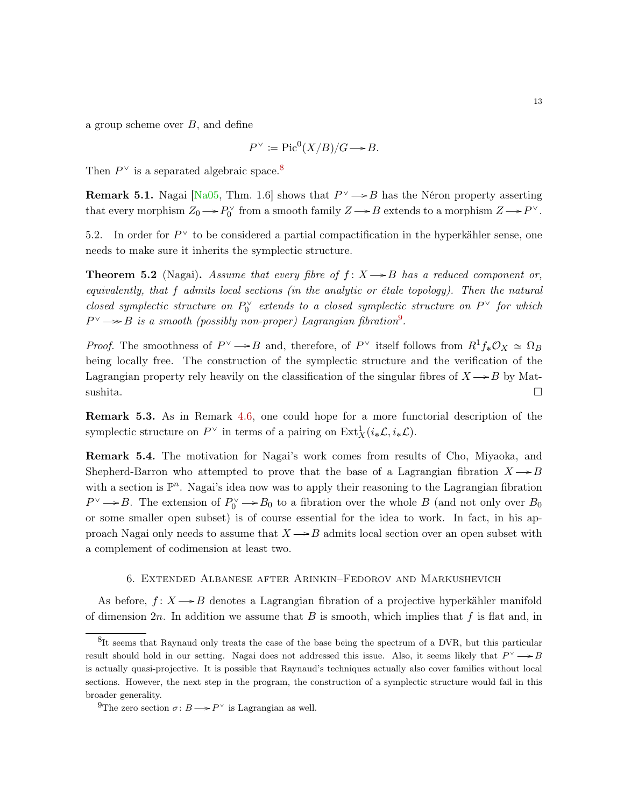<span id="page-12-4"></span>a group scheme over  $B$ , and define

$$
P^{\vee} := \text{Pic}^0(X/B)/G \longrightarrow B.
$$

Then  $P^{\vee}$  is a separated algebraic space.<sup>[8](#page-12-1)</sup>

**Remark 5.1.** Nagai [\[Na05,](#page-18-2) Thm. 1.6] shows that  $P^{\vee} \rightarrow B$  has the Néron property asserting that every morphism  $Z_0 \to P_0^{\vee}$  from a smooth family  $Z \to B$  extends to a morphism  $Z \to P^{\vee}$ .

5.2. In order for  $P^{\vee}$  to be considered a partial compactification in the hyperkähler sense, one needs to make sure it inherits the symplectic structure.

<span id="page-12-3"></span>**Theorem 5.2** (Nagai). Assume that every fibre of  $f: X \rightarrow B$  has a reduced component or, equivalently, that f admits local sections (in the analytic or étale topology). Then the natural closed symplectic structure on  $P_0^{\vee}$  extends to a closed symplectic structure on  $P^{\vee}$  for which  $P^{\vee} \longrightarrow B$  is a smooth (possibly non-proper) Lagrangian fibration<sup>[9](#page-12-2)</sup>.

*Proof.* The smoothness of  $P^{\vee} \rightarrow B$  and, therefore, of  $P^{\vee}$  itself follows from  $R^1f_*\mathcal{O}_X \simeq \Omega_B$ being locally free. The construction of the symplectic structure and the verification of the Lagrangian property rely heavily on the classification of the singular fibres of  $X \rightarrow B$  by Matsushita.  $\square$ 

Remark 5.3. As in Remark [4.6,](#page-10-1) one could hope for a more functorial description of the symplectic structure on  $P^{\vee}$  in terms of a pairing on  $\text{Ext}^1_X(i_*\mathcal{L}, i_*\mathcal{L})$ .

Remark 5.4. The motivation for Nagai's work comes from results of Cho, Miyaoka, and Shepherd-Barron who attempted to prove that the base of a Lagrangian fibration  $X \rightarrow B$ with a section is  $\mathbb{P}^n$ . Nagai's idea now was to apply their reasoning to the Lagrangian fibration  $P^{\vee} \rightarrow B$ . The extension of  $P_0^{\vee} \rightarrow B_0$  to a fibration over the whole B (and not only over  $B_0$ ) or some smaller open subset) is of course essential for the idea to work. In fact, in his approach Nagai only needs to assume that  $X \rightarrow B$  admits local section over an open subset with a complement of codimension at least two.

## 6. Extended Albanese after Arinkin–Fedorov and Markushevich

<span id="page-12-0"></span>As before,  $f: X \rightarrow B$  denotes a Lagrangian fibration of a projective hyperkähler manifold of dimension  $2n$ . In addition we assume that B is smooth, which implies that f is flat and, in

<span id="page-12-1"></span><sup>&</sup>lt;sup>8</sup>It seems that Raynaud only treats the case of the base being the spectrum of a DVR, but this particular result should hold in our setting. Nagai does not addressed this issue. Also, it seems likely that  $P^{\vee} \longrightarrow B$ is actually quasi-projective. It is possible that Raynaud's techniques actually also cover families without local sections. However, the next step in the program, the construction of a symplectic structure would fail in this broader generality.

<span id="page-12-2"></span><sup>&</sup>lt;sup>9</sup>The zero section  $\sigma: B \longrightarrow P^{\vee}$  is Lagrangian as well.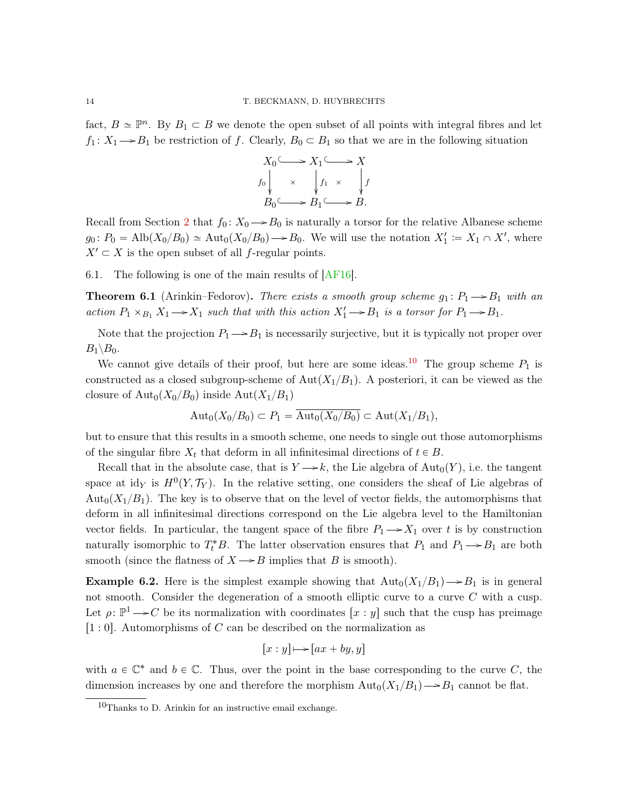<span id="page-13-2"></span>fact,  $B \simeq \mathbb{P}^n$ . By  $B_1 \subset B$  we denote the open subset of all points with integral fibres and let  $f_1: X_1 \longrightarrow B_1$  be restriction of f. Clearly,  $B_0 \subset B_1$  so that we are in the following situation

$$
X_0 \longrightarrow X_1 \longrightarrow X
$$
  
\n $f_0 \downarrow \times \qquad f_1 \times \qquad f$   
\n $B_0 \longrightarrow B_1 \longrightarrow B.$ 

Recall from Section [2](#page-1-2) that  $f_0: X_0 \to B_0$  is naturally a torsor for the relative Albanese scheme  $g_0: P_0 = \text{Alb}(X_0/B_0) \simeq \text{Aut}_0(X_0/B_0) \longrightarrow B_0$ . We will use the notation  $X_1' := X_1 \cap X'$ , where  $X' \subset X$  is the open subset of all f-regular points.

6.1. The following is one of the main results of [\[AF16\]](#page-18-0).

**Theorem 6.1** (Arinkin–Fedorov). There exists a smooth group scheme  $g_1: P_1 \rightarrow B_1$  with an action  $P_1 \times_{B_1} X_1 \longrightarrow X_1$  such that with this action  $X'_1 \longrightarrow B_1$  is a torsor for  $P_1 \longrightarrow B_1$ .

Note that the projection  $P_1 \rightarrow P_1$  is necessarily surjective, but it is typically not proper over  $B_1 \backslash B_0$ .

We cannot give details of their proof, but here are some ideas.<sup>[10](#page-13-1)</sup> The group scheme  $P_1$  is constructed as a closed subgroup-scheme of  $Aut(X_1/B_1)$ . A posteriori, it can be viewed as the closure of  $\text{Aut}_0(X_0/B_0)$  inside  $\text{Aut}(X_1/B_1)$ 

$$
\mathrm{Aut}_0(X_0/B_0)\subset P_1=\overline{\mathrm{Aut}_0(X_0/B_0)}\subset \mathrm{Aut}(X_1/B_1),
$$

but to ensure that this results in a smooth scheme, one needs to single out those automorphisms of the singular fibre  $X_t$  that deform in all infinitesimal directions of  $t \in B$ .

Recall that in the absolute case, that is  $Y \rightarrow k$ , the Lie algebra of  $\text{Aut}_0(Y)$ , i.e. the tangent space at id<sub>Y</sub> is  $H^0(Y, \mathcal{T}_Y)$ . In the relative setting, one considers the sheaf of Lie algebras of Aut<sub>0</sub> $(X_1/B_1)$ . The key is to observe that on the level of vector fields, the automorphisms that deform in all infinitesimal directions correspond on the Lie algebra level to the Hamiltonian vector fields. In particular, the tangent space of the fibre  $P_1 \rightarrow X_1$  over t is by construction naturally isomorphic to  $T_t^*B$ . The latter observation ensures that  $P_1$  and  $P_1 \longrightarrow B_1$  are both smooth (since the flatness of  $X \rightarrow B$  implies that B is smooth).

<span id="page-13-0"></span>**Example 6.2.** Here is the simplest example showing that  $\text{Aut}_0(X_1/B_1) \rightarrow B_1$  is in general not smooth. Consider the degeneration of a smooth elliptic curve to a curve C with a cusp. Let  $\rho: \mathbb{P}^1 \longrightarrow C$  be its normalization with coordinates  $[x : y]$  such that the cusp has preimage  $[1:0]$ . Automorphisms of C can be described on the normalization as

$$
[x:y] \mapsto [ax+by,y]
$$

with  $a \in \mathbb{C}^*$  and  $b \in \mathbb{C}$ . Thus, over the point in the base corresponding to the curve C, the dimension increases by one and therefore the morphism  $\text{Aut}_0(X_1/B_1) \rightarrow B_1$  cannot be flat.

<span id="page-13-1"></span><sup>10</sup>Thanks to D. Arinkin for an instructive email exchange.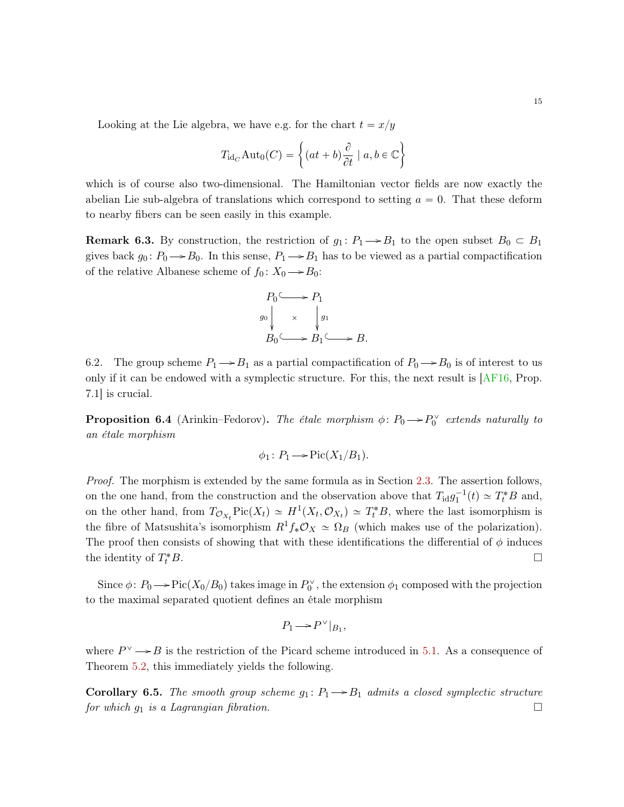<span id="page-14-0"></span>Looking at the Lie algebra, we have e.g. for the chart  $t = x/y$ 

$$
T_{\mathrm{id}_C} \mathrm{Aut}_0(C) = \left\{ (at+b) \frac{\partial}{\partial t} \mid a, b \in \mathbb{C} \right\}
$$

which is of course also two-dimensional. The Hamiltonian vector fields are now exactly the abelian Lie sub-algebra of translations which correspond to setting  $a = 0$ . That these deform to nearby fibers can be seen easily in this example.

**Remark 6.3.** By construction, the restriction of  $g_1: P_1 \rightarrow B_1$  to the open subset  $B_0 \subset B_1$ gives back  $g_0: P_0 \to B_0$ . In this sense,  $P_1 \to B_1$  has to be viewed as a partial compactification of the relative Albanese scheme of  $f_0: X_0 \longrightarrow B_0$ :

$$
P_0 \longrightarrow P_1
$$
  
\n
$$
g_0 \downarrow \times \downarrow g_1
$$
  
\n
$$
B_0 \longrightarrow B_1 \longrightarrow B.
$$

6.2. The group scheme  $P_1 \rightarrow B_1$  as a partial compactification of  $P_0 \rightarrow B_0$  is of interest to us only if it can be endowed with a symplectic structure. For this, the next result is [\[AF16,](#page-18-0) Prop. 7.1] is crucial.

**Proposition 6.4** (Arinkin–Fedorov). The étale morphism  $\phi: P_0 \rightarrow P_0^{\vee}$  extends naturally to an étale morphism

$$
\phi_1 \colon P_1 \longrightarrow \text{Pic}(X_1/B_1).
$$

Proof. The morphism is extended by the same formula as in Section [2.3.](#page-3-3) The assertion follows, on the one hand, from the construction and the observation above that  $T_{\rm id}g_1^{-1}(t) \simeq T_t^*B$  and, on the other hand, from  $T_{\mathcal{O}_{X_t}}\text{Pic}(X_t) \simeq H^1(X_t, \mathcal{O}_{X_t}) \simeq T_t^*B$ , where the last isomorphism is the fibre of Matsushita's isomorphism  $R^1f_*\mathcal{O}_X \simeq \Omega_B$  (which makes use of the polarization). The proof then consists of showing that with these identifications the differential of  $\phi$  induces the identity of  $T_t^*$  $t^*B$ .

Since  $\phi: P_0 \longrightarrow Pic(X_0/B_0)$  takes image in  $P_0^{\vee}$ , the extension  $\phi_1$  composed with the projection to the maximal separated quotient defines an étale morphism

$$
P_1\!\longrightarrow\!P^\vee|_{B_1},
$$

where  $P^{\vee} \rightarrow B$  is the restriction of the Picard scheme introduced in [5.1.](#page-11-2) As a consequence of Theorem [5.2,](#page-12-3) this immediately yields the following.

**Corollary 6.5.** The smooth group scheme  $g_1: P_1 \rightarrow B_1$  admits a closed symplectic structure for which  $g_1$  is a Lagrangian fibration.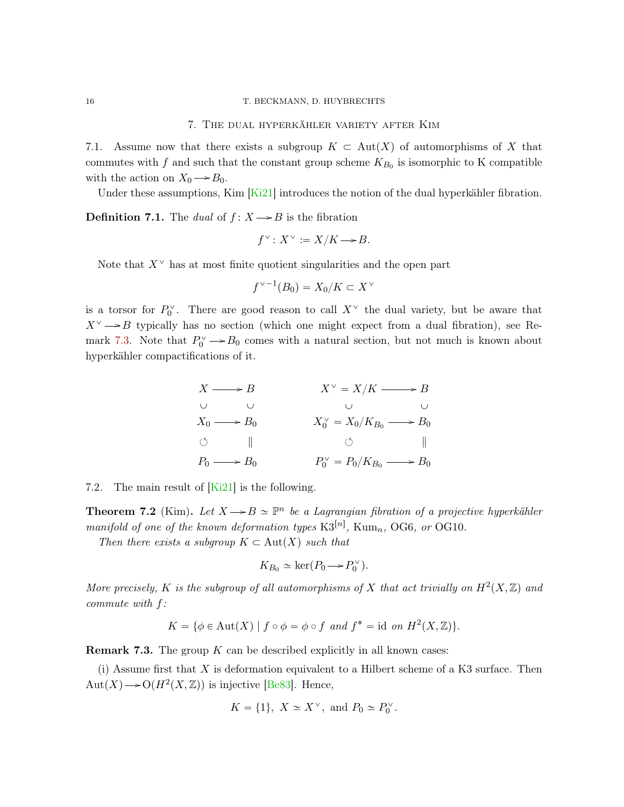### 7. The dual hyperkähler variety after Kim

<span id="page-15-2"></span><span id="page-15-0"></span>7.1. Assume now that there exists a subgroup  $K \subset Aut(X)$  of automorphisms of X that commutes with f and such that the constant group scheme  $K_{B_0}$  is isomorphic to K compatible with the action on  $X_0 \longrightarrow B_0$ .

Under these assumptions, Kim  $\lfloor$ Ki21] introduces the notion of the dual hyperkähler fibration.

**Definition 7.1.** The dual of  $f: X \rightarrow B$  is the fibration

$$
f^{\vee} \colon X^{\vee} \coloneqq X/K \longrightarrow B.
$$

Note that  $X^{\vee}$  has at most finite quotient singularities and the open part

$$
f^{\vee -1}(B_0) = X_0/K \subset X^{\vee}
$$

is a torsor for  $P_0^{\vee}$ . There are good reason to call  $X^{\vee}$  the dual variety, but be aware that  $X^{\vee} \rightarrow B$  typically has no section (which one might expect from a dual fibration), see Re-mark [7.3.](#page-15-1) Note that  $P_0^{\vee} \to B_0$  comes with a natural section, but not much is known about hyperkähler compactifications of it.

$$
X \longrightarrow B
$$
  
\n
$$
X \longrightarrow B
$$
  
\n
$$
X_0 \longrightarrow B_0
$$
  
\n
$$
X_0 \longrightarrow B_0
$$
  
\n
$$
X_0 \longrightarrow B_0
$$
  
\n
$$
X_0 \longrightarrow B_0
$$
  
\n
$$
X_0 \longrightarrow B_0
$$
  
\n
$$
Y_0 \longrightarrow B_0
$$
  
\n
$$
Y_0 \longrightarrow B_0
$$
  
\n
$$
Y_0 \longrightarrow B_0
$$
  
\n
$$
Y_0 \longrightarrow B_0
$$
  
\n
$$
Y_0 \longrightarrow B_0
$$

7.2. The main result of  $[Ki21]$  is the following.

**Theorem 7.2** (Kim). Let  $X \rightarrow B \simeq \mathbb{P}^n$  be a Lagrangian fibration of a projective hyperkähler manifold of one of the known deformation types  $K3^{[n]}$ , Kum<sub>n</sub>, OG6, or OG10.

Then there exists a subgroup  $K \subset Aut(X)$  such that

$$
K_{B_0} \simeq \ker(P_0 \longrightarrow P_0^{\vee}).
$$

More precisely, K is the subgroup of all automorphisms of X that act trivially on  $H^2(X,\mathbb{Z})$  and commute with f:

$$
K = \{ \phi \in \text{Aut}(X) \mid f \circ \phi = \phi \circ f \text{ and } f^* = \text{id} \text{ on } H^2(X, \mathbb{Z}) \}.
$$

<span id="page-15-1"></span>**Remark 7.3.** The group  $K$  can be described explicitly in all known cases:

(i) Assume first that  $X$  is deformation equivalent to a Hilbert scheme of a K3 surface. Then Aut $(X) \longrightarrow O(H^2(X, \mathbb{Z}))$  is injective [\[Be83\]](#page-18-15). Hence,

$$
K = \{1\}, \ X \simeq X^\vee, \text{ and } P_0 \simeq P_0^\vee.
$$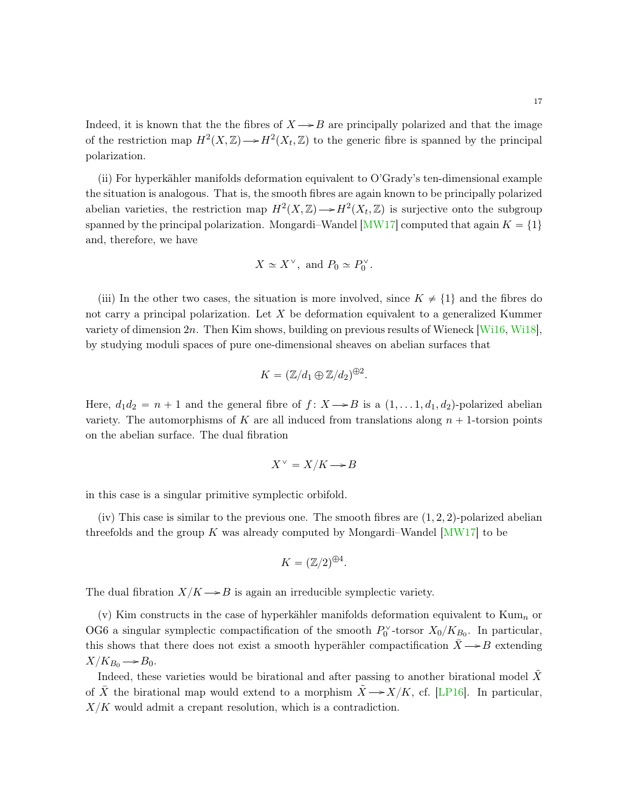<span id="page-16-0"></span>Indeed, it is known that the the fibres of  $X \rightarrow B$  are principally polarized and that the image of the restriction map  $H^2(X,\mathbb{Z}) \longrightarrow H^2(X_t,\mathbb{Z})$  to the generic fibre is spanned by the principal polarization.

(ii) For hyperkähler manifolds deformation equivalent to O'Grady's ten-dimensional example the situation is analogous. That is, the smooth fibres are again known to be principally polarized abelian varieties, the restriction map  $H^2(X, \mathbb{Z}) \longrightarrow H^2(X_t, \mathbb{Z})$  is surjective onto the subgroup spanned by the principal polarization. Mongardi–Wandel [\[MW17\]](#page-18-16) computed that again  $K = \{1\}$ and, therefore, we have

$$
X \simeq X^{\vee}, \text{ and } P_0 \simeq P_0^{\vee}.
$$

(iii) In the other two cases, the situation is more involved, since  $K \neq \{1\}$  and the fibres do not carry a principal polarization. Let  $X$  be deformation equivalent to a generalized Kummer variety of dimension 2n. Then Kim shows, building on previous results of Wieneck [\[Wi16,](#page-18-17) [Wi18\]](#page-18-18), by studying moduli spaces of pure one-dimensional sheaves on abelian surfaces that

$$
K = (\mathbb{Z}/d_1 \oplus \mathbb{Z}/d_2)^{\oplus 2}.
$$

Here,  $d_1 d_2 = n + 1$  and the general fibre of  $f: X \rightarrow B$  is a  $(1, \ldots, 1, d_1, d_2)$ -polarized abelian variety. The automorphisms of K are all induced from translations along  $n + 1$ -torsion points on the abelian surface. The dual fibration

$$
X^{\vee} = X/K \longrightarrow B
$$

in this case is a singular primitive symplectic orbifold.

(iv) This case is similar to the previous one. The smooth fibres are  $(1, 2, 2)$ -polarized abelian threefolds and the group K was already computed by Mongardi–Wandel  $[MW17]$  to be

$$
K = (\mathbb{Z}/2)^{\oplus 4}.
$$

The dual fibration  $X/K \rightarrow B$  is again an irreducible symplectic variety.

(v) Kim constructs in the case of hyperkähler manifolds deformation equivalent to Kum<sub>n</sub> or OG6 a singular symplectic compactification of the smooth  $P_0^{\vee}$ -torsor  $X_0/K_{B_0}$ . In particular, this shows that there does not exist a smooth hyperähler compactification  $\bar{X} \rightarrow B$  extending  $X/K_{B_0} \rightarrow B_0.$ 

Indeed, these varieties would be birational and after passing to another birational model  $\tilde{X}$ of  $\overline{X}$  the birational map would extend to a morphism  $\overline{X} \rightarrow X/K$ , cf. [\[LP16\]](#page-18-19). In particular,  $X/K$  would admit a crepant resolution, which is a contradiction.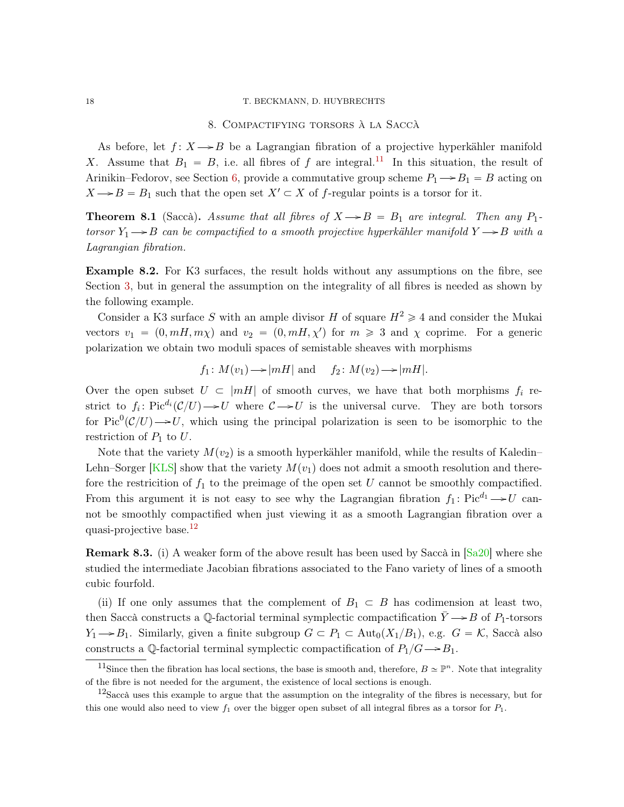### <span id="page-17-3"></span><span id="page-17-0"></span>18 T. BECKMANN, D. HUYBRECHTS

## 8. Compactifying torsors à la Saccà

As before, let  $f: X \rightarrow B$  be a Lagrangian fibration of a projective hyperkähler manifold X. Assume that  $B_1 = B$ , i.e. all fibres of f are integral.<sup>[11](#page-17-1)</sup> In this situation, the result of Arinikin–Fedorov, see Section [6,](#page-12-0) provide a commutative group scheme  $P_1 \rightarrow B_1 = B$  acting on  $X \rightarrow B = B_1$  such that the open set  $X' \subset X$  of f-regular points is a torsor for it.

**Theorem 8.1** (Saccà). Assume that all fibres of  $X \rightarrow B = B_1$  are integral. Then any  $P_1$ torsor  $Y_1 \rightarrow B$  can be compactified to a smooth projective hyperkähler manifold  $Y \rightarrow B$  with a Lagrangian fibration.

Example 8.2. For K3 surfaces, the result holds without any assumptions on the fibre, see Section [3,](#page-5-1) but in general the assumption on the integrality of all fibres is needed as shown by the following example.

Consider a K3 surface S with an ample divisor H of square  $H^2 \geq 4$  and consider the Mukai vectors  $v_1 = (0, mH, m\chi)$  and  $v_2 = (0, mH, \chi')$  for  $m \geq 3$  and  $\chi$  coprime. For a generic polarization we obtain two moduli spaces of semistable sheaves with morphisms

$$
f_1: M(v_1) \longrightarrow |mH|
$$
 and  $f_2: M(v_2) \longrightarrow |mH|$ .

Over the open subset  $U \subset |mH|$  of smooth curves, we have that both morphisms  $f_i$  restrict to  $f_i$ : Pic<sup>d<sub>i</sub></sup>( $\mathcal{C}/U$ )  $\rightarrow U$  where  $\mathcal{C} \rightarrow U$  is the universal curve. They are both torsors for Pic<sup>0</sup>( $\mathcal{C}/U$ )  $\rightarrow$  U, which using the principal polarization is seen to be isomorphic to the restriction of  $P_1$  to  $U$ .

Note that the variety  $M(v_2)$  is a smooth hyperkähler manifold, while the results of Kaledin– Lehn–Sorger [\[KLS\]](#page-18-20) show that the variety  $M(v_1)$  does not admit a smooth resolution and therefore the restricition of  $f_1$  to the preimage of the open set U cannot be smoothly compactified. From this argument it is not easy to see why the Lagrangian fibration  $f_1: Pic^{d_1} \rightarrow U$  cannot be smoothly compactified when just viewing it as a smooth Lagrangian fibration over a quasi-projective base.<sup>[12](#page-17-2)</sup>

Remark 8.3. (i) A weaker form of the above result has been used by Saccà in [\[Sa20\]](#page-18-3) where she studied the intermediate Jacobian fibrations associated to the Fano variety of lines of a smooth cubic fourfold.

(ii) If one only assumes that the complement of  $B_1 \subset B$  has codimension at least two, then Saccà constructs a Q-factorial terminal symplectic compactification  $\bar{Y} \rightarrow B$  of P<sub>1</sub>-torsors  $Y_1 \rightarrow B_1$ . Similarly, given a finite subgroup  $G \subset P_1 \subset \text{Aut}_0(X_1/B_1)$ , e.g.  $G = \mathcal{K}$ , Saccà also constructs a Q-factorial terminal symplectic compactification of  $P_1/G \rightarrow B_1$ .

<span id="page-17-1"></span><sup>&</sup>lt;sup>11</sup>Since then the fibration has local sections, the base is smooth and, therefore,  $B \simeq \mathbb{P}^n$ . Note that integrality of the fibre is not needed for the argument, the existence of local sections is enough.

<span id="page-17-2"></span> $12$ Saccà uses this example to argue that the assumption on the integrality of the fibres is necessary, but for this one would also need to view  $f_1$  over the bigger open subset of all integral fibres as a torsor for  $P_1$ .